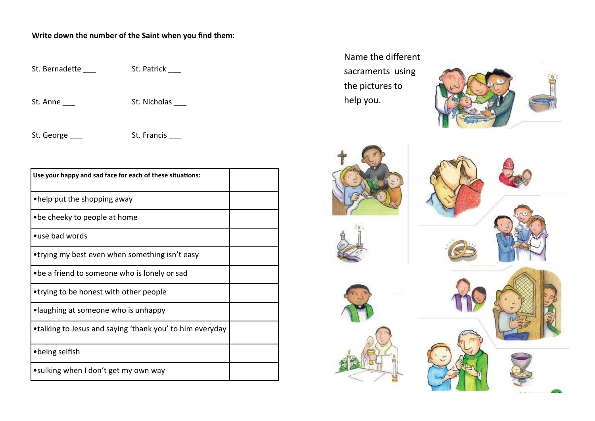## **Write down the number of the Saint when you find them:**

St. Bernadette \_\_\_ St. Patrick \_\_\_

St. Anne St. Nicholas

St. George \_\_\_ St. Francis \_\_\_

| Use your happy and sad face for each of these situations: |  |
|-----------------------------------------------------------|--|
| •help put the shopping away                               |  |
| • be cheeky to people at home                             |  |
| •use bad words                                            |  |
| •trying my best even when something isn't easy            |  |
| • be a friend to someone who is lonely or sad             |  |
| •trying to be honest with other people                    |  |
| •laughing at someone who is unhappy                       |  |
| •talking to Jesus and saying 'thank you' to him everyday  |  |
| • being selfish                                           |  |
| •sulking when I don't get my own way                      |  |

Name the different sacraments using the pictures to help you.